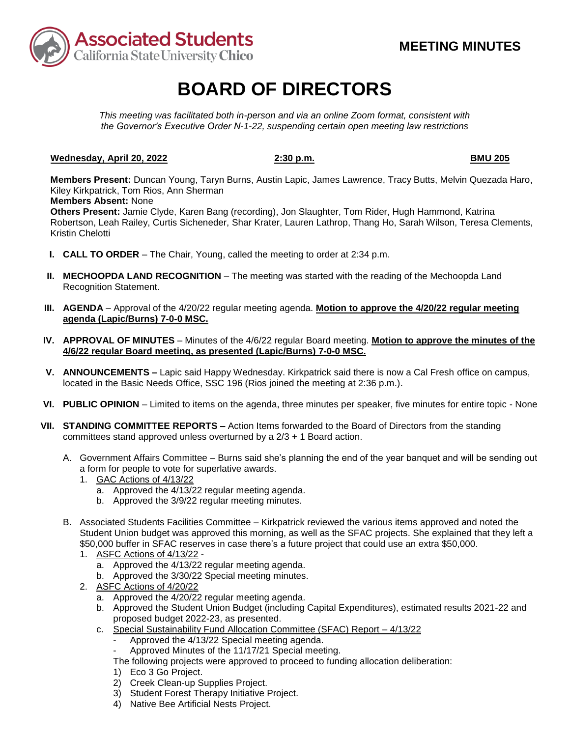

# **BOARD OF DIRECTORS**

*This meeting was facilitated both in-person and via an online Zoom format, consistent with the Governor's Executive Order N-1-22, suspending certain open meeting law restrictions* 

## **Wednesday, April 20, 2022** 2:30 p.m. **BMU 205 BMU 205**

**Members Present:** Duncan Young, Taryn Burns, Austin Lapic, James Lawrence, Tracy Butts, Melvin Quezada Haro, Kiley Kirkpatrick, Tom Rios, Ann Sherman

### **Members Absent:** None

**Others Present:** Jamie Clyde, Karen Bang (recording), Jon Slaughter, Tom Rider, Hugh Hammond, Katrina Robertson, Leah Railey, Curtis Sicheneder, Shar Krater, Lauren Lathrop, Thang Ho, Sarah Wilson, Teresa Clements, Kristin Chelotti

- **I. CALL TO ORDER**  The Chair, Young, called the meeting to order at 2:34 p.m.
- **II. MECHOOPDA LAND RECOGNITION** The meeting was started with the reading of the Mechoopda Land Recognition Statement.
- **III. AGENDA**  Approval of the 4/20/22 regular meeting agenda. **Motion to approve the 4/20/22 regular meeting agenda (Lapic/Burns) 7-0-0 MSC.**
- **IV. APPROVAL OF MINUTES**  Minutes of the 4/6/22 regular Board meeting. **Motion to approve the minutes of the 4/6/22 regular Board meeting, as presented (Lapic/Burns) 7-0-0 MSC.**
- located in the Basic Needs Office, SSC 196 (Rios joined the meeting at 2:36 p.m.). **V. ANNOUNCEMENTS –** Lapic said Happy Wednesday. Kirkpatrick said there is now a Cal Fresh office on campus,
- **VI. PUBLIC OPINION**  Limited to items on the agenda, three minutes per speaker, five minutes for entire topic None
- **VII. STANDING COMMITTEE REPORTS –** Action Items forwarded to the Board of Directors from the standing committees stand approved unless overturned by a 2/3 + 1 Board action.
	- A. Government Affairs Committee Burns said she's planning the end of the year banquet and will be sending out a form for people to vote for superlative awards.
		- 1. GAC Actions of 4/13/22
			- a. Approved the 4/13/22 regular meeting agenda.
			- b. Approved the 3/9/22 regular meeting minutes.
	- B. Associated Students Facilities Committee Kirkpatrick reviewed the various items approved and noted the Student Union budget was approved this morning, as well as the SFAC projects. She explained that they left a \$50,000 buffer in SFAC reserves in case there's a future project that could use an extra \$50,000.
		- 1. ASFC Actions of 4/13/22
			- a. Approved the 4/13/22 regular meeting agenda.
			- b. Approved the 3/30/22 Special meeting minutes.
		- 2. ASFC Actions of 4/20/22
			- $\overline{a}$ . Approved the 4/20/22 regular meeting agenda.
			- b. Approved the Student Union Budget (including Capital Expenditures), estimated results 2021-22 and proposed budget 2022-23, as presented.
			- c. Special Sustainability Fund Allocation Committee (SFAC) Report 4/13/22
				- Approved the 4/13/22 Special meeting agenda.
					- Approved Minutes of the 11/17/21 Special meeting.
				- The following projects were approved to proceed to funding allocation deliberation:
				- 1) Eco 3 Go Project.
				- 2) Creek Clean-up Supplies Project.
				- 3) Student Forest Therapy Initiative Project.
				- 4) Native Bee Artificial Nests Project.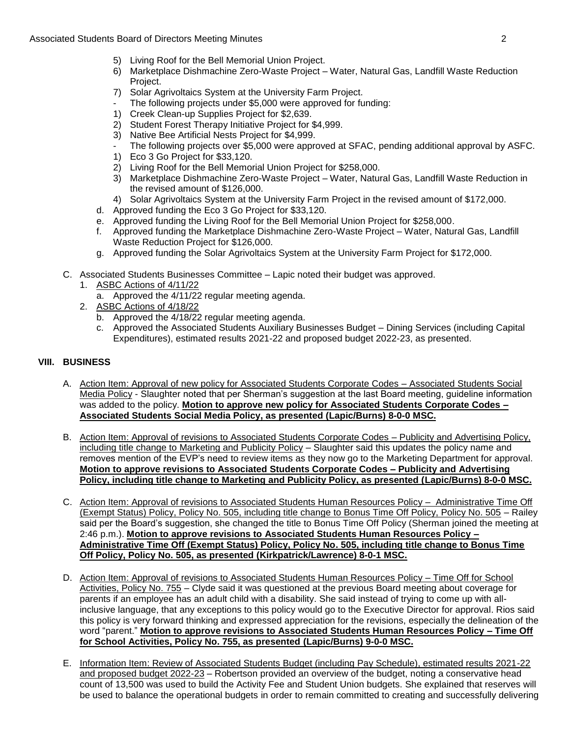- 5) Living Roof for the Bell Memorial Union Project.
- 6) Marketplace Dishmachine Zero-Waste Project Water, Natural Gas, Landfill Waste Reduction Project.
- 7) Solar Agrivoltaics System at the University Farm Project.
- The following projects under \$5,000 were approved for funding:
- 1) Creek Clean-up Supplies Project for \$2,639.
- 2) Student Forest Therapy Initiative Project for \$4,999.
- 3) Native Bee Artificial Nests Project for \$4,999.
- The following projects over \$5,000 were approved at SFAC, pending additional approval by ASFC.
- 1) Eco 3 Go Project for \$33,120.
- 2) Living Roof for the Bell Memorial Union Project for \$258,000.
- 3) Marketplace Dishmachine Zero-Waste Project Water, Natural Gas, Landfill Waste Reduction in the revised amount of \$126,000.
- 4) Solar Agrivoltaics System at the University Farm Project in the revised amount of \$172,000.
- d. Approved funding the Eco 3 Go Project for \$33,120.
- e. Approved funding the Living Roof for the Bell Memorial Union Project for \$258,000.
- f. Approved funding the Marketplace Dishmachine Zero-Waste Project Water, Natural Gas, Landfill Waste Reduction Project for \$126,000.
- g. Approved funding the Solar Agrivoltaics System at the University Farm Project for \$172,000.
- C. Associated Students Businesses Committee Lapic noted their budget was approved.
	- 1. ASBC Actions of 4/11/22
		- a. Approved the 4/11/22 regular meeting agenda.
	- 2. ASBC Actions of 4/18/22
		- b. Approved the 4/18/22 regular meeting agenda.
		- c. Approved the Associated Students Auxiliary Businesses Budget Dining Services (including Capital Expenditures), estimated results 2021-22 and proposed budget 2022-23, as presented.

# **VIII. BUSINESS**

- A. Action Item: Approval of new policy for Associated Students Corporate Codes Associated Students Social Media Policy - Slaughter noted that per Sherman's suggestion at the last Board meeting, guideline information was added to the policy. **Motion to approve new policy for Associated Students Corporate Codes – Associated Students Social Media Policy, as presented (Lapic/Burns) 8-0-0 MSC.**
- including title change to Marketing and Publicity Policy Slaughter said this updates the policy name and removes mention of the EVP's need to review items as they now go to the Marketing Department for approval. B. Action Item: Approval of revisions to Associated Students Corporate Codes – Publicity and Advertising Policy, **Motion to approve revisions to Associated Students Corporate Codes – Publicity and Advertising Policy, including title change to Marketing and Publicity Policy, as presented (Lapic/Burns) 8-0-0 MSC.**
- C. Action Item: Approval of revisions to Associated Students Human Resources Policy Administrative Time Off (Exempt Status) Policy, Policy No. 505, including title change to Bonus Time Off Policy, Policy No. 505 – Railey said per the Board's suggestion, she changed the title to Bonus Time Off Policy (Sherman joined the meeting at 2:46 p.m.). **Motion to approve revisions to Associated Students Human Resources Policy – Administrative Time Off (Exempt Status) Policy, Policy No. 505, including title change to Bonus Time Off Policy, Policy No. 505, as presented (Kirkpatrick/Lawrence) 8-0-1 MSC.**
- this policy is very forward thinking and expressed appreciation for the revisions, especially the delineation of the D. Action Item: Approval of revisions to Associated Students Human Resources Policy – Time Off for School Activities, Policy No. 755 – Clyde said it was questioned at the previous Board meeting about coverage for parents if an employee has an adult child with a disability. She said instead of trying to come up with allinclusive language, that any exceptions to this policy would go to the Executive Director for approval. Rios said word "parent." **Motion to approve revisions to Associated Students Human Resources Policy – Time Off for School Activities, Policy No. 755, as presented (Lapic/Burns) 9-0-0 MSC.**
- count of 13,500 was used to build the Activity Fee and Student Union budgets. She explained that reserves will be used to balance the operational budgets in order to remain committed to creating and successfully delivering E. Information Item: Review of Associated Students Budget (including Pay Schedule), estimated results 2021-22 and proposed budget 2022-23 – Robertson provided an overview of the budget, noting a conservative head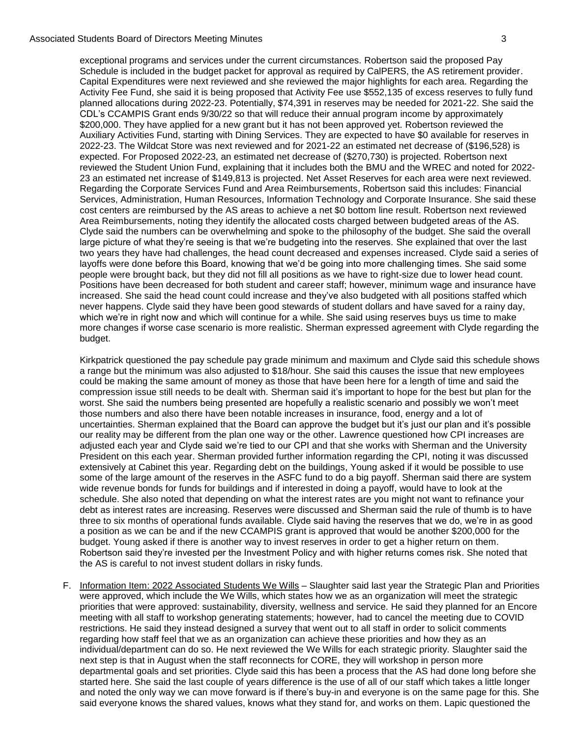### Associated Students Board of Directors Meeting Minutes 3

 \$200,000. They have applied for a new grant but it has not been approved yet. Robertson reviewed the Auxiliary Activities Fund, starting with Dining Services. They are expected to have \$0 available for reserves in reviewed the Student Union Fund, explaining that it includes both the BMU and the WREC and noted for 2022- Clyde said the numbers can be overwhelming and spoke to the philosophy of the budget. She said the overall increased. She said the head count could increase and they've also budgeted with all positions staffed which exceptional programs and services under the current circumstances. Robertson said the proposed Pay Schedule is included in the budget packet for approval as required by CalPERS, the AS retirement provider. Capital Expenditures were next reviewed and she reviewed the major highlights for each area. Regarding the Activity Fee Fund, she said it is being proposed that Activity Fee use \$552,135 of excess reserves to fully fund planned allocations during 2022-23. Potentially, \$74,391 in reserves may be needed for 2021-22. She said the CDL's CCAMPIS Grant ends 9/30/22 so that will reduce their annual program income by approximately 2022-23. The Wildcat Store was next reviewed and for 2021-22 an estimated net decrease of (\$196,528) is expected. For Proposed 2022-23, an estimated net decrease of (\$270,730) is projected. Robertson next 23 an estimated net increase of \$149,813 is projected. Net Asset Reserves for each area were next reviewed. Regarding the Corporate Services Fund and Area Reimbursements, Robertson said this includes: Financial Services, Administration, Human Resources, Information Technology and Corporate Insurance. She said these cost centers are reimbursed by the AS areas to achieve a net \$0 bottom line result. Robertson next reviewed Area Reimbursements, noting they identify the allocated costs charged between budgeted areas of the AS. large picture of what they're seeing is that we're budgeting into the reserves. She explained that over the last two years they have had challenges, the head count decreased and expenses increased. Clyde said a series of layoffs were done before this Board, knowing that we'd be going into more challenging times. She said some people were brought back, but they did not fill all positions as we have to right-size due to lower head count. Positions have been decreased for both student and career staff; however, minimum wage and insurance have never happens. Clyde said they have been good stewards of student dollars and have saved for a rainy day, which we're in right now and which will continue for a while. She said using reserves buys us time to make more changes if worse case scenario is more realistic. Sherman expressed agreement with Clyde regarding the budget.

 a range but the minimum was also adjusted to \$18/hour. She said this causes the issue that new employees those numbers and also there have been notable increases in insurance, food, energy and a lot of adjusted each year and Clyde said we're tied to our CPI and that she works with Sherman and the University some of the large amount of the reserves in the ASFC fund to do a big payoff. Sherman said there are system schedule. She also noted that depending on what the interest rates are you might not want to refinance your a position as we can be and if the new CCAMPIS grant is approved that would be another \$200,000 for the budget. Young asked if there is another way to invest reserves in order to get a higher return on them. the AS is careful to not invest student dollars in risky funds. Kirkpatrick questioned the pay schedule pay grade minimum and maximum and Clyde said this schedule shows could be making the same amount of money as those that have been here for a length of time and said the compression issue still needs to be dealt with. Sherman said it's important to hope for the best but plan for the worst. She said the numbers being presented are hopefully a realistic scenario and possibly we won't meet uncertainties. Sherman explained that the Board can approve the budget but it's just our plan and it's possible our reality may be different from the plan one way or the other. Lawrence questioned how CPI increases are President on this each year. Sherman provided further information regarding the CPI, noting it was discussed extensively at Cabinet this year. Regarding debt on the buildings, Young asked if it would be possible to use wide revenue bonds for funds for buildings and if interested in doing a payoff, would have to look at the debt as interest rates are increasing. Reserves were discussed and Sherman said the rule of thumb is to have three to six months of operational funds available. Clyde said having the reserves that we do, we're in as good Robertson said they're invested per the Investment Policy and with higher returns comes risk. She noted that

F. Information Item: 2022 Associated Students We Wills - Slaughter said last year the Strategic Plan and Priorities regarding how staff feel that we as an organization can achieve these priorities and how they as an individual/department can do so. He next reviewed the We Wills for each strategic priority. Slaughter said the and noted the only way we can move forward is if there's buy-in and everyone is on the same page for this. She were approved, which include the We Wills, which states how we as an organization will meet the strategic priorities that were approved: sustainability, diversity, wellness and service. He said they planned for an Encore meeting with all staff to workshop generating statements; however, had to cancel the meeting due to COVID restrictions. He said they instead designed a survey that went out to all staff in order to solicit comments next step is that in August when the staff reconnects for CORE, they will workshop in person more departmental goals and set priorities. Clyde said this has been a process that the AS had done long before she started here. She said the last couple of years difference is the use of all of our staff which takes a little longer said everyone knows the shared values, knows what they stand for, and works on them. Lapic questioned the